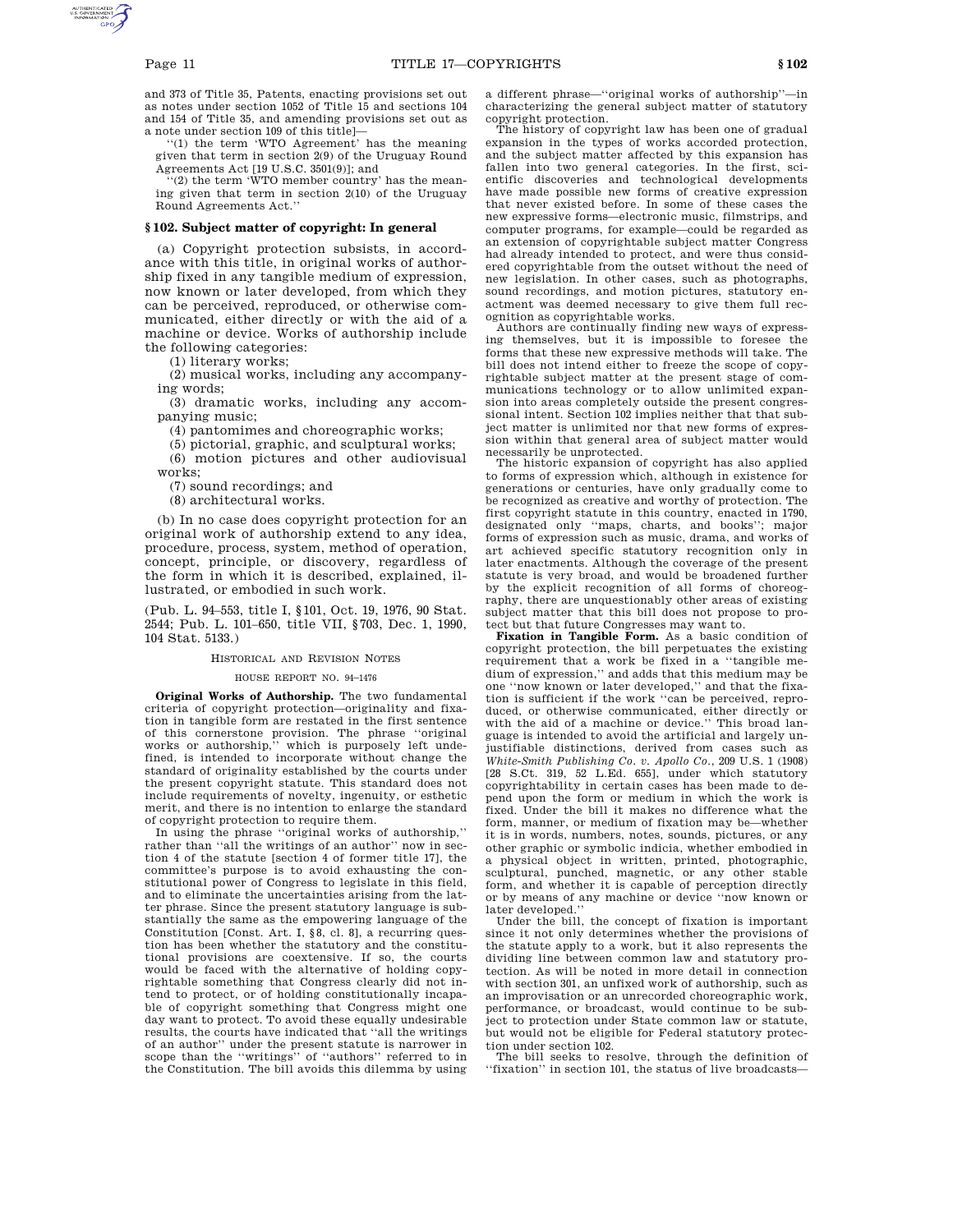and 373 of Title 35, Patents, enacting provisions set out as notes under section 1052 of Title 15 and sections 104 and 154 of Title 35, and amending provisions set out as a note under section 109 of this title]—

''(1) the term 'WTO Agreement' has the meaning given that term in section 2(9) of the Uruguay Round Agreements Act [19 U.S.C. 3501(9)]; and

(2) the term 'WTO member country' has the meaning given that term in section 2(10) of the Uruguay Round Agreements Act.''

## **§ 102. Subject matter of copyright: In general**

(a) Copyright protection subsists, in accordance with this title, in original works of authorship fixed in any tangible medium of expression, now known or later developed, from which they can be perceived, reproduced, or otherwise communicated, either directly or with the aid of a machine or device. Works of authorship include the following categories:

(1) literary works;

(2) musical works, including any accompanying words;

(3) dramatic works, including any accompanying music;

(4) pantomimes and choreographic works;

(5) pictorial, graphic, and sculptural works;

(6) motion pictures and other audiovisual works;

(7) sound recordings; and

(8) architectural works.

(b) In no case does copyright protection for an original work of authorship extend to any idea, procedure, process, system, method of operation, concept, principle, or discovery, regardless of the form in which it is described, explained, illustrated, or embodied in such work.

(Pub. L. 94–553, title I, §101, Oct. 19, 1976, 90 Stat. 2544; Pub. L. 101–650, title VII, §703, Dec. 1, 1990, 104 Stat. 5133.)

## HISTORICAL AND REVISION NOTES

#### HOUSE REPORT NO. 94–1476

**Original Works of Authorship.** The two fundamental criteria of copyright protection—originality and fixation in tangible form are restated in the first sentence of this cornerstone provision. The phrase ''original works or authorship,'' which is purposely left undefined, is intended to incorporate without change the standard of originality established by the courts under the present copyright statute. This standard does not include requirements of novelty, ingenuity, or esthetic merit, and there is no intention to enlarge the standard of copyright protection to require them.

In using the phrase ''original works of authorship,'' rather than ''all the writings of an author'' now in section 4 of the statute [section 4 of former title 17], the committee's purpose is to avoid exhausting the constitutional power of Congress to legislate in this field, and to eliminate the uncertainties arising from the latter phrase. Since the present statutory language is substantially the same as the empowering language of the Constitution [Const. Art. I, §8, cl. 8], a recurring question has been whether the statutory and the constitutional provisions are coextensive. If so, the courts would be faced with the alternative of holding copyrightable something that Congress clearly did not intend to protect, or of holding constitutionally incapable of copyright something that Congress might one day want to protect. To avoid these equally undesirable results, the courts have indicated that ''all the writings of an author'' under the present statute is narrower in scope than the ''writings'' of ''authors'' referred to in the Constitution. The bill avoids this dilemma by using

a different phrase—''original works of authorship''—in characterizing the general subject matter of statutory copyright protection.

The history of copyright law has been one of gradual expansion in the types of works accorded protection, and the subject matter affected by this expansion has fallen into two general categories. In the first, scientific discoveries and technological developments have made possible new forms of creative expression that never existed before. In some of these cases the new expressive forms—electronic music, filmstrips, and computer programs, for example—could be regarded as an extension of copyrightable subject matter Congress had already intended to protect, and were thus considered copyrightable from the outset without the need of new legislation. In other cases, such as photographs, sound recordings, and motion pictures, statutory enactment was deemed necessary to give them full recognition as copyrightable works.

Authors are continually finding new ways of expressing themselves, but it is impossible to foresee the forms that these new expressive methods will take. The bill does not intend either to freeze the scope of copyrightable subject matter at the present stage of communications technology or to allow unlimited expansion into areas completely outside the present congressional intent. Section 102 implies neither that that subject matter is unlimited nor that new forms of expression within that general area of subject matter would necessarily be unprotected.

The historic expansion of copyright has also applied to forms of expression which, although in existence for generations or centuries, have only gradually come to be recognized as creative and worthy of protection. The first copyright statute in this country, enacted in 1790, designated only ''maps, charts, and books''; major forms of expression such as music, drama, and works of art achieved specific statutory recognition only in later enactments. Although the coverage of the present statute is very broad, and would be broadened further by the explicit recognition of all forms of choreography, there are unquestionably other areas of existing subject matter that this bill does not propose to protect but that future Congresses may want to.

**Fixation in Tangible Form.** As a basic condition of copyright protection, the bill perpetuates the existing requirement that a work be fixed in a ''tangible medium of expression,'' and adds that this medium may be one ''now known or later developed,'' and that the fixation is sufficient if the work ''can be perceived, reproduced, or otherwise communicated, either directly or with the aid of a machine or device.'' This broad language is intended to avoid the artificial and largely unjustifiable distinctions, derived from cases such as *White-Smith Publishing Co. v. Apollo Co*., 209 U.S. 1 (1908) [28 S.Ct. 319, 52 L.Ed. 655], under which statutory copyrightability in certain cases has been made to depend upon the form or medium in which the work is fixed. Under the bill it makes no difference what the form, manner, or medium of fixation may be—whether it is in words, numbers, notes, sounds, pictures, or any other graphic or symbolic indicia, whether embodied in a physical object in written, printed, photographic, sculptural, punched, magnetic, or any other stable form, and whether it is capable of perception directly or by means of any machine or device ''now known or later developed.

Under the bill, the concept of fixation is important since it not only determines whether the provisions of the statute apply to a work, but it also represents the dividing line between common law and statutory protection. As will be noted in more detail in connection with section 301, an unfixed work of authorship, such as an improvisation or an unrecorded choreographic work, performance, or broadcast, would continue to be subject to protection under State common law or statute, but would not be eligible for Federal statutory protection under section 102.

The bill seeks to resolve, through the definition of ''fixation'' in section 101, the status of live broadcasts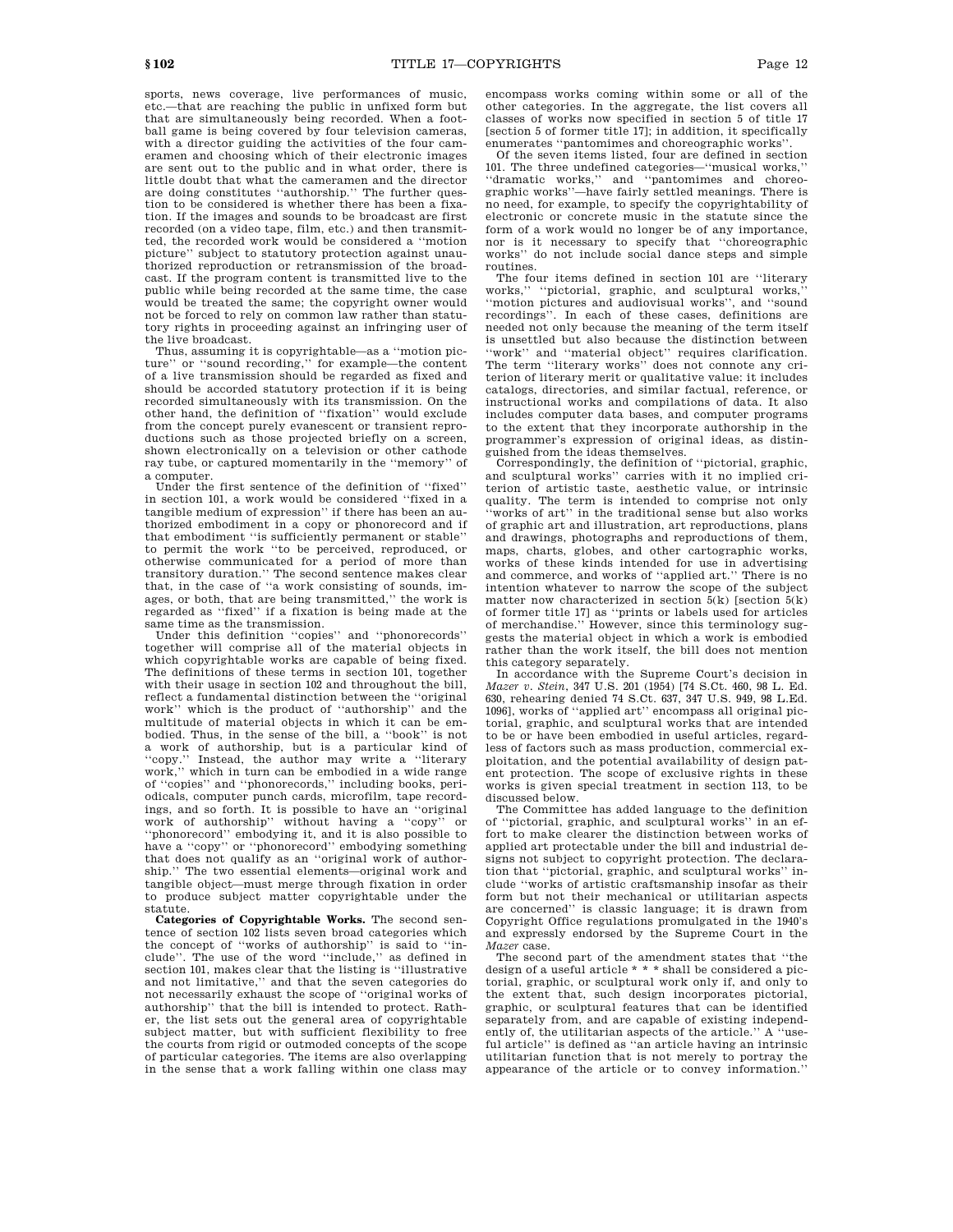sports, news coverage, live performances of music, etc.—that are reaching the public in unfixed form but that are simultaneously being recorded. When a football game is being covered by four television cameras, with a director guiding the activities of the four cameramen and choosing which of their electronic images are sent out to the public and in what order, there is little doubt that what the cameramen and the director are doing constitutes ''authorship.'' The further question to be considered is whether there has been a fixation. If the images and sounds to be broadcast are first recorded (on a video tape, film, etc.) and then transmitted, the recorded work would be considered a ''motion picture'' subject to statutory protection against unauthorized reproduction or retransmission of the broadcast. If the program content is transmitted live to the public while being recorded at the same time, the case would be treated the same; the copyright owner would not be forced to rely on common law rather than statutory rights in proceeding against an infringing user of the live broadcast.

Thus, assuming it is copyrightable—as a ''motion picture'' or ''sound recording,'' for example—the content of a live transmission should be regarded as fixed and should be accorded statutory protection if it is being recorded simultaneously with its transmission. On the other hand, the definition of ''fixation'' would exclude from the concept purely evanescent or transient reproductions such as those projected briefly on a screen, shown electronically on a television or other cathode ray tube, or captured momentarily in the ''memory'' of a computer.

Under the first sentence of the definition of ''fixed'' in section 101, a work would be considered ''fixed in a tangible medium of expression'' if there has been an authorized embodiment in a copy or phonorecord and if that embodiment ''is sufficiently permanent or stable'' to permit the work ''to be perceived, reproduced, or otherwise communicated for a period of more than transitory duration.'' The second sentence makes clear that, in the case of ''a work consisting of sounds, images, or both, that are being transmitted,'' the work is regarded as ''fixed'' if a fixation is being made at the same time as the transmission.

Under this definition ''copies'' and ''phonorecords'' together will comprise all of the material objects in which copyrightable works are capable of being fixed. The definitions of these terms in section 101, together with their usage in section 102 and throughout the bill, reflect a fundamental distinction between the ''original work'' which is the product of ''authorship'' and the multitude of material objects in which it can be embodied. Thus, in the sense of the bill, a ''book'' is not a work of authorship, but is a particular kind of ''copy.'' Instead, the author may write a ''literary work,'' which in turn can be embodied in a wide range of ''copies'' and ''phonorecords,'' including books, periodicals, computer punch cards, microfilm, tape recordings, and so forth. It is possible to have an ''original work of authorship'' without having a ''copy'' or ''phonorecord'' embodying it, and it is also possible to have a ''copy'' or ''phonorecord'' embodying something that does not qualify as an ''original work of authorship.'' The two essential elements—original work and tangible object—must merge through fixation in order to produce subject matter copyrightable under the statute.

**Categories of Copyrightable Works.** The second sentence of section 102 lists seven broad categories which the concept of ''works of authorship'' is said to ''include''. The use of the word ''include,'' as defined in section 101, makes clear that the listing is ''illustrative and not limitative,'' and that the seven categories do not necessarily exhaust the scope of ''original works of authorship'' that the bill is intended to protect. Rather, the list sets out the general area of copyrightable subject matter, but with sufficient flexibility to free the courts from rigid or outmoded concepts of the scope of particular categories. The items are also overlapping in the sense that a work falling within one class may

encompass works coming within some or all of the other categories. In the aggregate, the list covers all classes of works now specified in section 5 of title 17 [section 5 of former title 17]; in addition, it specifically enumerates ''pantomimes and choreographic works''.

Of the seven items listed, four are defined in section 101. The three undefined categories—''musical works,'' ''dramatic works,'' and ''pantomimes and choreographic works''—have fairly settled meanings. There is no need, for example, to specify the copyrightability of electronic or concrete music in the statute since the form of a work would no longer be of any importance, nor is it necessary to specify that ''choreographic works'' do not include social dance steps and simple routines.

The four items defined in section 101 are ''literary works,'' ''pictorial, graphic, and sculptural works,'' ''motion pictures and audiovisual works'', and ''sound recordings''. In each of these cases, definitions are needed not only because the meaning of the term itself is unsettled but also because the distinction between ''work'' and ''material object'' requires clarification. The term ''literary works'' does not connote any criterion of literary merit or qualitative value: it includes catalogs, directories, and similar factual, reference, or instructional works and compilations of data. It also includes computer data bases, and computer programs to the extent that they incorporate authorship in the programmer's expression of original ideas, as distinguished from the ideas themselves.

Correspondingly, the definition of ''pictorial, graphic, and sculptural works'' carries with it no implied criterion of artistic taste, aesthetic value, or intrinsic quality. The term is intended to comprise not only works of art" in the traditional sense but also works of graphic art and illustration, art reproductions, plans and drawings, photographs and reproductions of them, maps, charts, globes, and other cartographic works, works of these kinds intended for use in advertising and commerce, and works of ''applied art.'' There is no intention whatever to narrow the scope of the subject matter now characterized in section  $5(k)$  [section  $5(k)$ ] of former title 17] as ''prints or labels used for articles of merchandise.'' However, since this terminology suggests the material object in which a work is embodied rather than the work itself, the bill does not mention this category separately.

In accordance with the Supreme Court's decision in *Mazer v. Stein*, 347 U.S. 201 (1954) [74 S.Ct. 460, 98 L. Ed. 630, rehearing denied 74 S.Ct. 637, 347 U.S. 949, 98 L.Ed. 1096], works of ''applied art'' encompass all original pictorial, graphic, and sculptural works that are intended to be or have been embodied in useful articles, regardless of factors such as mass production, commercial exploitation, and the potential availability of design patent protection. The scope of exclusive rights in these works is given special treatment in section 113, to be discussed below.

The Committee has added language to the definition of ''pictorial, graphic, and sculptural works'' in an effort to make clearer the distinction between works of applied art protectable under the bill and industrial designs not subject to copyright protection. The declaration that ''pictorial, graphic, and sculptural works'' include ''works of artistic craftsmanship insofar as their form but not their mechanical or utilitarian aspects are concerned'' is classic language; it is drawn from Copyright Office regulations promulgated in the 1940's and expressly endorsed by the Supreme Court in the *Mazer* case.

The second part of the amendment states that ''the design of a useful article \* \* \* shall be considered a pictorial, graphic, or sculptural work only if, and only to the extent that, such design incorporates pictorial, graphic, or sculptural features that can be identified separately from, and are capable of existing independently of, the utilitarian aspects of the article.'' A ''useful article'' is defined as ''an article having an intrinsic utilitarian function that is not merely to portray the appearance of the article or to convey information.''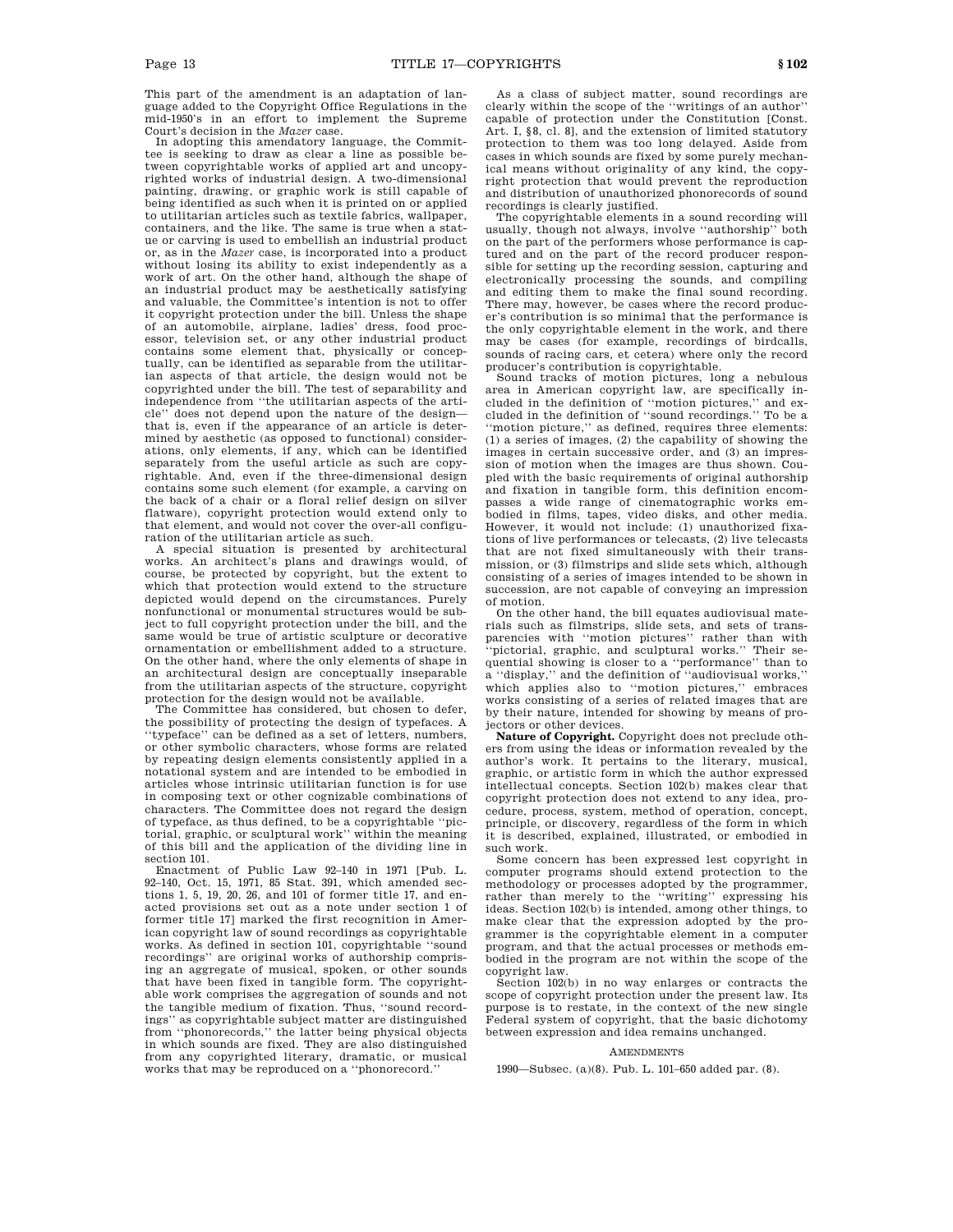This part of the amendment is an adaptation of language added to the Copyright Office Regulations in the mid-1950's in an effort to implement the Supreme Court's decision in the *Mazer* case.

In adopting this amendatory language, the Committee is seeking to draw as clear a line as possible between copyrightable works of applied art and uncopyrighted works of industrial design. A two-dimensional painting, drawing, or graphic work is still capable of being identified as such when it is printed on or applied to utilitarian articles such as textile fabrics, wallpaper, containers, and the like. The same is true when a statue or carving is used to embellish an industrial product or, as in the *Mazer* case, is incorporated into a product without losing its ability to exist independently as a work of art. On the other hand, although the shape of an industrial product may be aesthetically satisfying and valuable, the Committee's intention is not to offer it copyright protection under the bill. Unless the shape of an automobile, airplane, ladies' dress, food processor, television set, or any other industrial product contains some element that, physically or conceptually, can be identified as separable from the utilitarian aspects of that article, the design would not be copyrighted under the bill. The test of separability and independence from ''the utilitarian aspects of the article'' does not depend upon the nature of the design that is, even if the appearance of an article is determined by aesthetic (as opposed to functional) considerations, only elements, if any, which can be identified separately from the useful article as such are copyrightable. And, even if the three-dimensional design contains some such element (for example, a carving on the back of a chair or a floral relief design on silver flatware), copyright protection would extend only to that element, and would not cover the over-all configuration of the utilitarian article as such.

A special situation is presented by architectural works. An architect's plans and drawings would, of course, be protected by copyright, but the extent to which that protection would extend to the structure depicted would depend on the circumstances. Purely nonfunctional or monumental structures would be subject to full copyright protection under the bill, and the same would be true of artistic sculpture or decorative ornamentation or embellishment added to a structure. On the other hand, where the only elements of shape in an architectural design are conceptually inseparable from the utilitarian aspects of the structure, copyright protection for the design would not be available.

The Committee has considered, but chosen to defer, the possibility of protecting the design of typefaces. A ''typeface'' can be defined as a set of letters, numbers, or other symbolic characters, whose forms are related by repeating design elements consistently applied in a notational system and are intended to be embodied in articles whose intrinsic utilitarian function is for use in composing text or other cognizable combinations of characters. The Committee does not regard the design of typeface, as thus defined, to be a copyrightable ''pictorial, graphic, or sculptural work'' within the meaning of this bill and the application of the dividing line in section 101.

Enactment of Public Law 92–140 in 1971 [Pub. L. 92–140, Oct. 15, 1971, 85 Stat. 391, which amended sections 1, 5, 19, 20, 26, and 101 of former title 17, and enacted provisions set out as a note under section 1 of former title 17] marked the first recognition in American copyright law of sound recordings as copyrightable works. As defined in section 101, copyrightable ''sound recordings'' are original works of authorship comprising an aggregate of musical, spoken, or other sounds that have been fixed in tangible form. The copyrightable work comprises the aggregation of sounds and not the tangible medium of fixation. Thus, ''sound recordings'' as copyrightable subject matter are distinguished from ''phonorecords,'' the latter being physical objects in which sounds are fixed. They are also distinguished from any copyrighted literary, dramatic, or musical works that may be reproduced on a ''phonorecord.''

As a class of subject matter, sound recordings are clearly within the scope of the ''writings of an author'' capable of protection under the Constitution [Const. Art. I, §8, cl. 8], and the extension of limited statutory protection to them was too long delayed. Aside from cases in which sounds are fixed by some purely mechanical means without originality of any kind, the copyright protection that would prevent the reproduction and distribution of unauthorized phonorecords of sound recordings is clearly justified.

The copyrightable elements in a sound recording will usually, though not always, involve "authorship" on the part of the performers whose performance is captured and on the part of the record producer responsible for setting up the recording session, capturing and electronically processing the sounds, and compiling and editing them to make the final sound recording. There may, however, be cases where the record producer's contribution is so minimal that the performance is the only copyrightable element in the work, and there may be cases (for example, recordings of birdcalls, sounds of racing cars, et cetera) where only the record producer's contribution is copyrightable.

Sound tracks of motion pictures, long a nebulous area in American copyright law, are specifically included in the definition of ''motion pictures,'' and excluded in the definition of ''sound recordings.'' To be a "motion picture," as defined, requires three elements: (1) a series of images, (2) the capability of showing the images in certain successive order, and (3) an impression of motion when the images are thus shown. Coupled with the basic requirements of original authorship and fixation in tangible form, this definition encompasses a wide range of cinematographic works embodied in films, tapes, video disks, and other media. However, it would not include: (1) unauthorized fixations of live performances or telecasts, (2) live telecasts that are not fixed simultaneously with their transmission, or (3) filmstrips and slide sets which, although consisting of a series of images intended to be shown in succession, are not capable of conveying an impression of motion.

On the other hand, the bill equates audiovisual materials such as filmstrips, slide sets, and sets of transparencies with ''motion pictures'' rather than with 'pictorial, graphic, and sculptural works." Their sequential showing is closer to a ''performance'' than to a ''display,'' and the definition of ''audiovisual works,'' which applies also to ''motion pictures,'' embraces works consisting of a series of related images that are by their nature, intended for showing by means of pro-

jectors or other devices. **Nature of Copyright.** Copyright does not preclude others from using the ideas or information revealed by the author's work. It pertains to the literary, musical, graphic, or artistic form in which the author expressed intellectual concepts. Section 102(b) makes clear that copyright protection does not extend to any idea, procedure, process, system, method of operation, concept, principle, or discovery, regardless of the form in which it is described, explained, illustrated, or embodied in such work.

Some concern has been expressed lest copyright in computer programs should extend protection to the methodology or processes adopted by the programmer, rather than merely to the ''writing'' expressing his ideas. Section 102(b) is intended, among other things, to make clear that the expression adopted by the programmer is the copyrightable element in a computer program, and that the actual processes or methods embodied in the program are not within the scope of the copyright law.

Section 102(b) in no way enlarges or contracts the scope of copyright protection under the present law. Its purpose is to restate, in the context of the new single Federal system of copyright, that the basic dichotomy between expression and idea remains unchanged.

#### **AMENDMENTS**

1990—Subsec. (a)(8). Pub. L. 101–650 added par. (8).